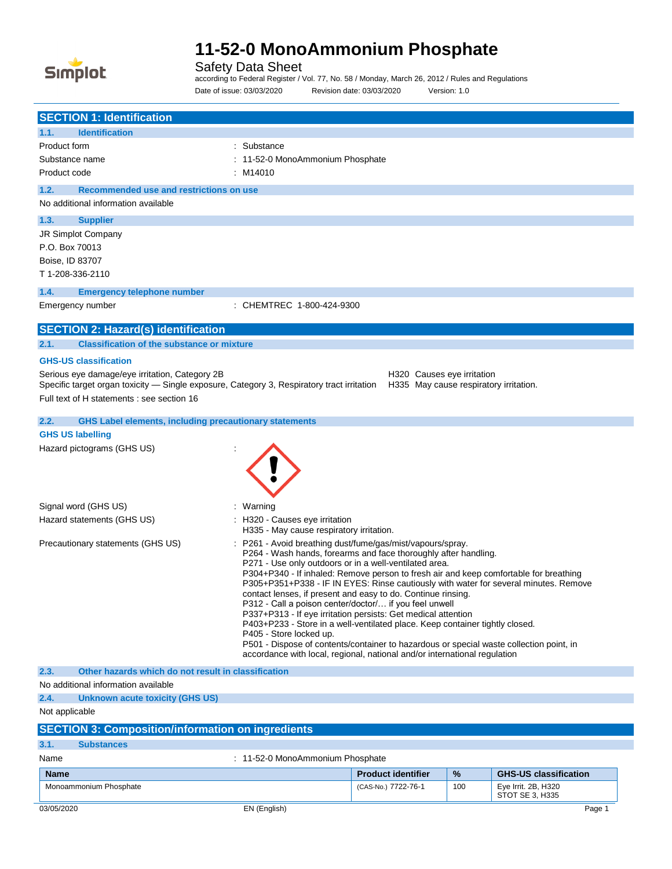

Safety Data Sheet

according to Federal Register / Vol. 77, No. 58 / Monday, March 26, 2012 / Rules and Regulations Date of issue: 03/03/2020 Revision date: 03/03/2020 Version: 1.0

| <b>SECTION 1: Identification</b>                                                                                                                                                                                                                                                                                                                                                                                                                                                                                                                                                                                                                                                                                                                                                                                                                                                            |                                                                            |  |
|---------------------------------------------------------------------------------------------------------------------------------------------------------------------------------------------------------------------------------------------------------------------------------------------------------------------------------------------------------------------------------------------------------------------------------------------------------------------------------------------------------------------------------------------------------------------------------------------------------------------------------------------------------------------------------------------------------------------------------------------------------------------------------------------------------------------------------------------------------------------------------------------|----------------------------------------------------------------------------|--|
| 1.1.<br><b>Identification</b>                                                                                                                                                                                                                                                                                                                                                                                                                                                                                                                                                                                                                                                                                                                                                                                                                                                               |                                                                            |  |
| Product form                                                                                                                                                                                                                                                                                                                                                                                                                                                                                                                                                                                                                                                                                                                                                                                                                                                                                | : Substance                                                                |  |
| Substance name                                                                                                                                                                                                                                                                                                                                                                                                                                                                                                                                                                                                                                                                                                                                                                                                                                                                              | : 11-52-0 MonoAmmonium Phosphate                                           |  |
| Product code                                                                                                                                                                                                                                                                                                                                                                                                                                                                                                                                                                                                                                                                                                                                                                                                                                                                                | : M14010                                                                   |  |
| 1.2.<br>Recommended use and restrictions on use                                                                                                                                                                                                                                                                                                                                                                                                                                                                                                                                                                                                                                                                                                                                                                                                                                             |                                                                            |  |
| No additional information available                                                                                                                                                                                                                                                                                                                                                                                                                                                                                                                                                                                                                                                                                                                                                                                                                                                         |                                                                            |  |
| 1.3.<br><b>Supplier</b>                                                                                                                                                                                                                                                                                                                                                                                                                                                                                                                                                                                                                                                                                                                                                                                                                                                                     |                                                                            |  |
| JR Simplot Company                                                                                                                                                                                                                                                                                                                                                                                                                                                                                                                                                                                                                                                                                                                                                                                                                                                                          |                                                                            |  |
| P.O. Box 70013                                                                                                                                                                                                                                                                                                                                                                                                                                                                                                                                                                                                                                                                                                                                                                                                                                                                              |                                                                            |  |
| Boise, ID 83707                                                                                                                                                                                                                                                                                                                                                                                                                                                                                                                                                                                                                                                                                                                                                                                                                                                                             |                                                                            |  |
| T 1-208-336-2110                                                                                                                                                                                                                                                                                                                                                                                                                                                                                                                                                                                                                                                                                                                                                                                                                                                                            |                                                                            |  |
|                                                                                                                                                                                                                                                                                                                                                                                                                                                                                                                                                                                                                                                                                                                                                                                                                                                                                             |                                                                            |  |
| 1.4.<br><b>Emergency telephone number</b>                                                                                                                                                                                                                                                                                                                                                                                                                                                                                                                                                                                                                                                                                                                                                                                                                                                   |                                                                            |  |
| Emergency number                                                                                                                                                                                                                                                                                                                                                                                                                                                                                                                                                                                                                                                                                                                                                                                                                                                                            | : CHEMTREC 1-800-424-9300                                                  |  |
| <b>SECTION 2: Hazard(s) identification</b>                                                                                                                                                                                                                                                                                                                                                                                                                                                                                                                                                                                                                                                                                                                                                                                                                                                  |                                                                            |  |
| 2.1.<br><b>Classification of the substance or mixture</b>                                                                                                                                                                                                                                                                                                                                                                                                                                                                                                                                                                                                                                                                                                                                                                                                                                   |                                                                            |  |
| <b>GHS-US classification</b>                                                                                                                                                                                                                                                                                                                                                                                                                                                                                                                                                                                                                                                                                                                                                                                                                                                                |                                                                            |  |
| Serious eye damage/eye irritation, Category 2B<br>Specific target organ toxicity - Single exposure, Category 3, Respiratory tract irritation                                                                                                                                                                                                                                                                                                                                                                                                                                                                                                                                                                                                                                                                                                                                                | H320 Causes eye irritation<br>H335 May cause respiratory irritation.       |  |
| Full text of H statements : see section 16                                                                                                                                                                                                                                                                                                                                                                                                                                                                                                                                                                                                                                                                                                                                                                                                                                                  |                                                                            |  |
| 2.2.<br><b>GHS Label elements, including precautionary statements</b>                                                                                                                                                                                                                                                                                                                                                                                                                                                                                                                                                                                                                                                                                                                                                                                                                       |                                                                            |  |
| <b>GHS US labelling</b>                                                                                                                                                                                                                                                                                                                                                                                                                                                                                                                                                                                                                                                                                                                                                                                                                                                                     |                                                                            |  |
| Hazard pictograms (GHS US)                                                                                                                                                                                                                                                                                                                                                                                                                                                                                                                                                                                                                                                                                                                                                                                                                                                                  |                                                                            |  |
|                                                                                                                                                                                                                                                                                                                                                                                                                                                                                                                                                                                                                                                                                                                                                                                                                                                                                             |                                                                            |  |
| Signal word (GHS US)                                                                                                                                                                                                                                                                                                                                                                                                                                                                                                                                                                                                                                                                                                                                                                                                                                                                        | : Warning                                                                  |  |
| Hazard statements (GHS US)                                                                                                                                                                                                                                                                                                                                                                                                                                                                                                                                                                                                                                                                                                                                                                                                                                                                  | : H320 - Causes eye irritation<br>H335 - May cause respiratory irritation. |  |
| : P261 - Avoid breathing dust/fume/gas/mist/vapours/spray.<br>Precautionary statements (GHS US)<br>P264 - Wash hands, forearms and face thoroughly after handling.<br>P271 - Use only outdoors or in a well-ventilated area.<br>P304+P340 - If inhaled: Remove person to fresh air and keep comfortable for breathing<br>P305+P351+P338 - IF IN EYES: Rinse cautiously with water for several minutes. Remove<br>contact lenses, if present and easy to do. Continue rinsing.<br>P312 - Call a poison center/doctor/ if you feel unwell<br>P337+P313 - If eye irritation persists: Get medical attention<br>P403+P233 - Store in a well-ventilated place. Keep container tightly closed.<br>P405 - Store locked up.<br>P501 - Dispose of contents/container to hazardous or special waste collection point, in<br>accordance with local, regional, national and/or international regulation |                                                                            |  |
| 2.3.<br>Other hazards which do not result in classification                                                                                                                                                                                                                                                                                                                                                                                                                                                                                                                                                                                                                                                                                                                                                                                                                                 |                                                                            |  |
| No additional information available                                                                                                                                                                                                                                                                                                                                                                                                                                                                                                                                                                                                                                                                                                                                                                                                                                                         |                                                                            |  |
| 2.4.<br>Unknown acute toxicity (GHS US)                                                                                                                                                                                                                                                                                                                                                                                                                                                                                                                                                                                                                                                                                                                                                                                                                                                     |                                                                            |  |
| Not applicable                                                                                                                                                                                                                                                                                                                                                                                                                                                                                                                                                                                                                                                                                                                                                                                                                                                                              |                                                                            |  |
| <b>SECTION 3: Composition/information on ingredients</b>                                                                                                                                                                                                                                                                                                                                                                                                                                                                                                                                                                                                                                                                                                                                                                                                                                    |                                                                            |  |
| 3.1.<br><b>Substances</b>                                                                                                                                                                                                                                                                                                                                                                                                                                                                                                                                                                                                                                                                                                                                                                                                                                                                   |                                                                            |  |
| Name                                                                                                                                                                                                                                                                                                                                                                                                                                                                                                                                                                                                                                                                                                                                                                                                                                                                                        | : 11-52-0 MonoAmmonium Phosphate                                           |  |
| <b>Name</b>                                                                                                                                                                                                                                                                                                                                                                                                                                                                                                                                                                                                                                                                                                                                                                                                                                                                                 | $\%$<br><b>GHS-US classification</b><br><b>Product identifier</b>          |  |
| Monoammonium Phosphate                                                                                                                                                                                                                                                                                                                                                                                                                                                                                                                                                                                                                                                                                                                                                                                                                                                                      | Eye Irrit. 2B, H320<br>(CAS-No.) 7722-76-1<br>100                          |  |
|                                                                                                                                                                                                                                                                                                                                                                                                                                                                                                                                                                                                                                                                                                                                                                                                                                                                                             | STOT SE 3, H335                                                            |  |
| 03/05/2020                                                                                                                                                                                                                                                                                                                                                                                                                                                                                                                                                                                                                                                                                                                                                                                                                                                                                  | EN (English)<br>Page 1                                                     |  |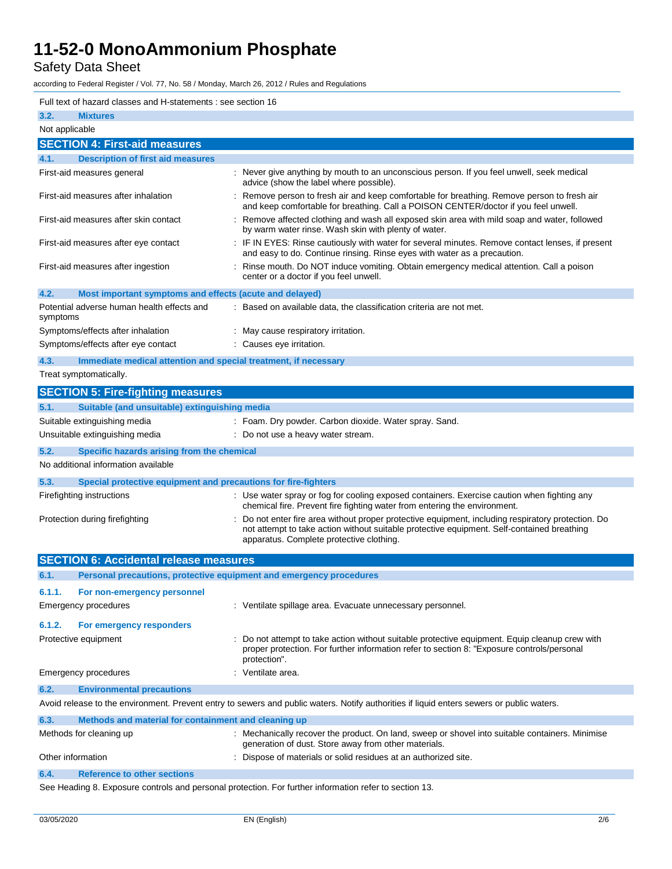Safety Data Sheet

according to Federal Register / Vol. 77, No. 58 / Monday, March 26, 2012 / Rules and Regulations

| Full text of hazard classes and H-statements : see section 16                                                                                                                                         |                                                                                                                                                                                                                                            |  |  |
|-------------------------------------------------------------------------------------------------------------------------------------------------------------------------------------------------------|--------------------------------------------------------------------------------------------------------------------------------------------------------------------------------------------------------------------------------------------|--|--|
| 3.2.<br><b>Mixtures</b>                                                                                                                                                                               |                                                                                                                                                                                                                                            |  |  |
| Not applicable                                                                                                                                                                                        |                                                                                                                                                                                                                                            |  |  |
| <b>SECTION 4: First-aid measures</b>                                                                                                                                                                  |                                                                                                                                                                                                                                            |  |  |
| <b>Description of first aid measures</b><br>4.1.                                                                                                                                                      |                                                                                                                                                                                                                                            |  |  |
| First-aid measures general                                                                                                                                                                            | : Never give anything by mouth to an unconscious person. If you feel unwell, seek medical<br>advice (show the label where possible).                                                                                                       |  |  |
| First-aid measures after inhalation                                                                                                                                                                   | : Remove person to fresh air and keep comfortable for breathing. Remove person to fresh air<br>and keep comfortable for breathing. Call a POISON CENTER/doctor if you feel unwell.                                                         |  |  |
| First-aid measures after skin contact                                                                                                                                                                 | : Remove affected clothing and wash all exposed skin area with mild soap and water, followed<br>by warm water rinse. Wash skin with plenty of water.                                                                                       |  |  |
| First-aid measures after eye contact                                                                                                                                                                  | : IF IN EYES: Rinse cautiously with water for several minutes. Remove contact lenses, if present<br>and easy to do. Continue rinsing. Rinse eyes with water as a precaution.                                                               |  |  |
| First-aid measures after ingestion                                                                                                                                                                    | : Rinse mouth. Do NOT induce vomiting. Obtain emergency medical attention. Call a poison<br>center or a doctor if you feel unwell.                                                                                                         |  |  |
| 4.2.<br>Most important symptoms and effects (acute and delayed)                                                                                                                                       |                                                                                                                                                                                                                                            |  |  |
| Potential adverse human health effects and<br>symptoms                                                                                                                                                | : Based on available data, the classification criteria are not met.                                                                                                                                                                        |  |  |
| Symptoms/effects after inhalation                                                                                                                                                                     | : May cause respiratory irritation.                                                                                                                                                                                                        |  |  |
| Symptoms/effects after eye contact                                                                                                                                                                    | : Causes eye irritation.                                                                                                                                                                                                                   |  |  |
| 4.3.<br>Immediate medical attention and special treatment, if necessary                                                                                                                               |                                                                                                                                                                                                                                            |  |  |
| Treat symptomatically.                                                                                                                                                                                |                                                                                                                                                                                                                                            |  |  |
| <b>SECTION 5: Fire-fighting measures</b>                                                                                                                                                              |                                                                                                                                                                                                                                            |  |  |
| 5.1.<br>Suitable (and unsuitable) extinguishing media                                                                                                                                                 |                                                                                                                                                                                                                                            |  |  |
| Suitable extinguishing media                                                                                                                                                                          | : Foam. Dry powder. Carbon dioxide. Water spray. Sand.                                                                                                                                                                                     |  |  |
| Unsuitable extinguishing media                                                                                                                                                                        | : Do not use a heavy water stream.                                                                                                                                                                                                         |  |  |
| 5.2.<br>Specific hazards arising from the chemical                                                                                                                                                    |                                                                                                                                                                                                                                            |  |  |
| No additional information available                                                                                                                                                                   |                                                                                                                                                                                                                                            |  |  |
| 5.3.<br>Special protective equipment and precautions for fire-fighters                                                                                                                                |                                                                                                                                                                                                                                            |  |  |
| : Use water spray or fog for cooling exposed containers. Exercise caution when fighting any<br>Firefighting instructions<br>chemical fire. Prevent fire fighting water from entering the environment. |                                                                                                                                                                                                                                            |  |  |
| Protection during firefighting                                                                                                                                                                        | Do not enter fire area without proper protective equipment, including respiratory protection. Do<br>not attempt to take action without suitable protective equipment. Self-contained breathing<br>apparatus. Complete protective clothing. |  |  |
| <b>SECTION 6: Accidental release measures</b>                                                                                                                                                         |                                                                                                                                                                                                                                            |  |  |
| 6.1.<br>Personal precautions, protective equipment and emergency procedures                                                                                                                           |                                                                                                                                                                                                                                            |  |  |
| 6.1.1.<br>For non-emergency personnel                                                                                                                                                                 |                                                                                                                                                                                                                                            |  |  |
| <b>Emergency procedures</b>                                                                                                                                                                           | : Ventilate spillage area. Evacuate unnecessary personnel.                                                                                                                                                                                 |  |  |
|                                                                                                                                                                                                       |                                                                                                                                                                                                                                            |  |  |
| 6.1.2.<br>For emergency responders                                                                                                                                                                    |                                                                                                                                                                                                                                            |  |  |
| Protective equipment                                                                                                                                                                                  | : Do not attempt to take action without suitable protective equipment. Equip cleanup crew with<br>proper protection. For further information refer to section 8: "Exposure controls/personal<br>protection".                               |  |  |
| Emergency procedures                                                                                                                                                                                  | : Ventilate area.                                                                                                                                                                                                                          |  |  |
| 6.2.<br><b>Environmental precautions</b>                                                                                                                                                              |                                                                                                                                                                                                                                            |  |  |
|                                                                                                                                                                                                       | Avoid release to the environment. Prevent entry to sewers and public waters. Notify authorities if liquid enters sewers or public waters.                                                                                                  |  |  |
| 6.3.<br>Methods and material for containment and cleaning up                                                                                                                                          |                                                                                                                                                                                                                                            |  |  |
| Methods for cleaning up                                                                                                                                                                               | : Mechanically recover the product. On land, sweep or shovel into suitable containers. Minimise<br>generation of dust. Store away from other materials.                                                                                    |  |  |
| Other information<br>: Dispose of materials or solid residues at an authorized site.                                                                                                                  |                                                                                                                                                                                                                                            |  |  |
| 6.4.<br><b>Reference to other sections</b>                                                                                                                                                            |                                                                                                                                                                                                                                            |  |  |
| See Heading 8. Exposure controls and personal protection. For further information refer to section 13                                                                                                 |                                                                                                                                                                                                                                            |  |  |

See Heading 8. Exposure controls and personal protection. For further information refer to section 13.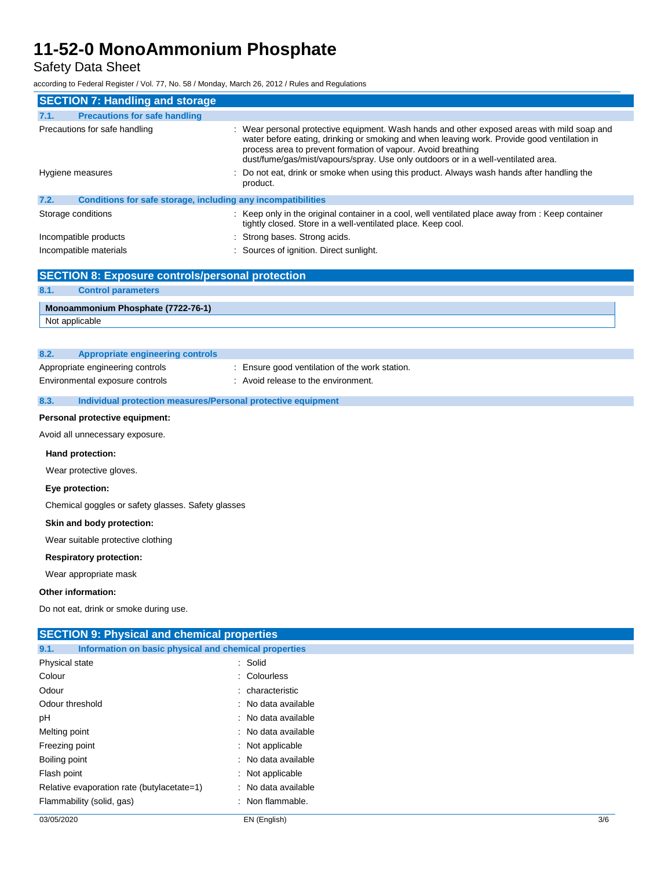Safety Data Sheet

according to Federal Register / Vol. 77, No. 58 / Monday, March 26, 2012 / Rules and Regulations

| <b>SECTION 7: Handling and storage</b>                               |                                                                                                                                                                                                                                                                                                                                                                                                                                               |  |
|----------------------------------------------------------------------|-----------------------------------------------------------------------------------------------------------------------------------------------------------------------------------------------------------------------------------------------------------------------------------------------------------------------------------------------------------------------------------------------------------------------------------------------|--|
| <b>Precautions for safe handling</b><br>7.1.                         |                                                                                                                                                                                                                                                                                                                                                                                                                                               |  |
| Precautions for safe handling<br>Hygiene measures                    | : Wear personal protective equipment. Wash hands and other exposed areas with mild soap and<br>water before eating, drinking or smoking and when leaving work. Provide good ventilation in<br>process area to prevent formation of vapour. Avoid breathing<br>dust/fume/gas/mist/vapours/spray. Use only outdoors or in a well-ventilated area.<br>: Do not eat, drink or smoke when using this product. Always wash hands after handling the |  |
|                                                                      | product.                                                                                                                                                                                                                                                                                                                                                                                                                                      |  |
| 7.2.<br>Conditions for safe storage, including any incompatibilities |                                                                                                                                                                                                                                                                                                                                                                                                                                               |  |
| Storage conditions                                                   | : Keep only in the original container in a cool, well ventilated place away from : Keep container<br>tightly closed. Store in a well-ventilated place. Keep cool.                                                                                                                                                                                                                                                                             |  |
| Incompatible products                                                | : Strong bases. Strong acids.                                                                                                                                                                                                                                                                                                                                                                                                                 |  |
| Incompatible materials                                               | : Sources of ignition. Direct sunlight.                                                                                                                                                                                                                                                                                                                                                                                                       |  |

|                                        | <b>SECTION 8: Exposure controls/personal protection</b> |                                                              |  |
|----------------------------------------|---------------------------------------------------------|--------------------------------------------------------------|--|
| 8.1.                                   | <b>Control parameters</b>                               |                                                              |  |
|                                        | Monoammonium Phosphate (7722-76-1)                      |                                                              |  |
|                                        | Not applicable                                          |                                                              |  |
|                                        |                                                         |                                                              |  |
| 8.2.                                   | <b>Appropriate engineering controls</b>                 |                                                              |  |
|                                        | Appropriate engineering controls                        | : Ensure good ventilation of the work station.               |  |
|                                        | Environmental exposure controls                         | : Avoid release to the environment.                          |  |
| 8.3.                                   |                                                         | Individual protection measures/Personal protective equipment |  |
|                                        | Personal protective equipment:                          |                                                              |  |
|                                        | Avoid all unnecessary exposure.                         |                                                              |  |
|                                        | Hand protection:                                        |                                                              |  |
|                                        | Wear protective gloves.                                 |                                                              |  |
|                                        | Eye protection:                                         |                                                              |  |
|                                        | Chemical goggles or safety glasses. Safety glasses      |                                                              |  |
|                                        | Skin and body protection:                               |                                                              |  |
|                                        | Wear suitable protective clothing                       |                                                              |  |
|                                        | <b>Respiratory protection:</b>                          |                                                              |  |
|                                        | Wear appropriate mask                                   |                                                              |  |
|                                        | Other information:                                      |                                                              |  |
| Do not eat, drink or smoke during use. |                                                         |                                                              |  |
|                                        | <b>SECTION 9: Physical and chemical properties</b>      |                                                              |  |
| 9.1.                                   | Information on basic physical and chemical properties   |                                                              |  |
|                                        | Physical state                                          | : Solid                                                      |  |
| Colour                                 |                                                         | : Colourless                                                 |  |
| ∩dour                                  |                                                         | . charactorictic                                             |  |

| vuuu            | . Gildidülelisüü    |
|-----------------|---------------------|
| Odour threshold | : No data available |
| рH              | : No data available |
| Melting point   | : No data available |
| Freezing point  | : Not applicable    |
| Boiling point   | : No data available |
| Flash point     | $:$ Not applicable  |

Relative evaporation rate (butylacetate=1) : No data available Flammability (solid, gas)  $\qquad \qquad$ : Non flammable.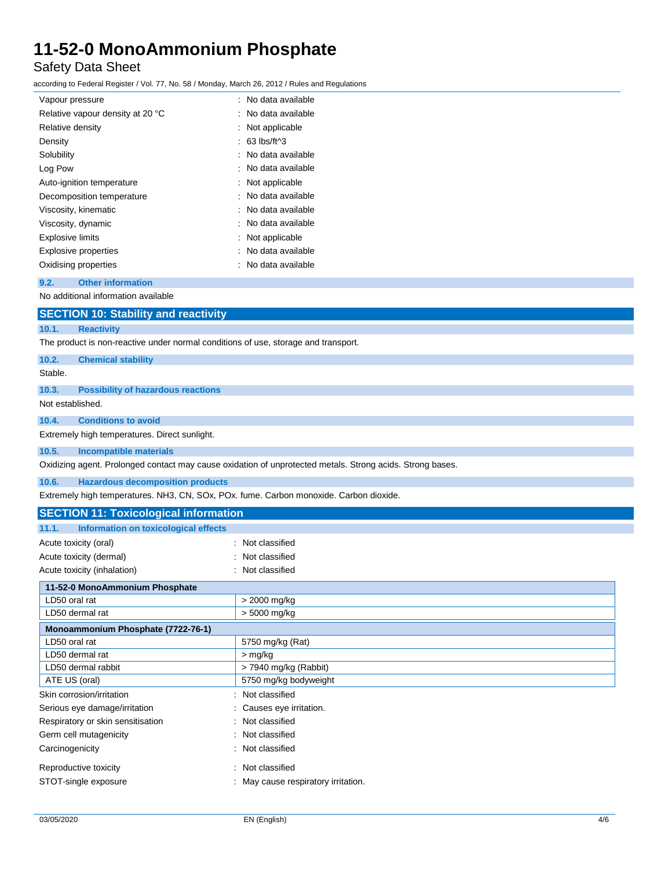### Safety Data Sheet

according to Federal Register / Vol. 77, No. 58 / Monday, March 26, 2012 / Rules and Regulations

| Vapour pressure                  | : No data available   |
|----------------------------------|-----------------------|
| Relative vapour density at 20 °C | : No data available   |
| Relative density                 | : Not applicable      |
| Density                          | : 63 lbs/ft^3         |
| Solubility                       | : No data available   |
| Log Pow                          | : No data available   |
| Auto-ignition temperature        | : Not applicable      |
| Decomposition temperature        | : No data available   |
| Viscosity, kinematic             | : No data available   |
| Viscosity, dynamic               | · No data available   |
| Explosive limits                 | : Not applicable      |
| <b>Explosive properties</b>      | : No data available   |
| Oxidising properties             | :   No data available |

**9.2. Other information**

No additional information available

|                  | <b>SECTION 10: Stability and reactivity</b>                                                               |  |  |
|------------------|-----------------------------------------------------------------------------------------------------------|--|--|
| 10.1.            | <b>Reactivity</b>                                                                                         |  |  |
|                  | The product is non-reactive under normal conditions of use, storage and transport.                        |  |  |
| 10.2.            | <b>Chemical stability</b>                                                                                 |  |  |
| Stable.          |                                                                                                           |  |  |
| 10.3.            | <b>Possibility of hazardous reactions</b>                                                                 |  |  |
| Not established. |                                                                                                           |  |  |
| 10.4.            | <b>Conditions to avoid</b>                                                                                |  |  |
|                  | Extremely high temperatures. Direct sunlight.                                                             |  |  |
| 10.5.            | <b>Incompatible materials</b>                                                                             |  |  |
|                  | Oxidizing agent. Prolonged contact may cause oxidation of unprotected metals. Strong acids. Strong bases. |  |  |
| 10.6.            | <b>Hazardous decomposition products</b>                                                                   |  |  |
|                  | Extremely high temperatures. NH3, CN, SOx, POx. fume. Carbon monoxide. Carbon dioxide.                    |  |  |

| <b>SECTION 11: Toxicological information</b>  |                                   |  |
|-----------------------------------------------|-----------------------------------|--|
| Information on toxicological effects<br>11.1. |                                   |  |
| Acute toxicity (oral)                         | : Not classified                  |  |
| Acute toxicity (dermal)                       | : Not classified                  |  |
| Acute toxicity (inhalation)                   | : Not classified                  |  |
| 11-52-0 MonoAmmonium Phosphate                |                                   |  |
| LD50 oral rat                                 | $>$ 2000 mg/kg                    |  |
| LD50 dermal rat                               | > 5000 mg/kg                      |  |
| Monoammonium Phosphate (7722-76-1)            |                                   |  |
| LD50 oral rat                                 | 5750 mg/kg (Rat)                  |  |
| LD50 dermal rat                               | $>$ mg/kg                         |  |
| LD50 dermal rabbit                            | $>$ 7940 mg/kg (Rabbit)           |  |
| ATE US (oral)                                 | 5750 mg/kg bodyweight             |  |
| Skin corrosion/irritation                     | : Not classified                  |  |
| Serious eye damage/irritation                 | : Causes eye irritation.          |  |
| Respiratory or skin sensitisation             | : Not classified                  |  |
| Germ cell mutagenicity                        | : Not classified                  |  |
| Carcinogenicity                               | : Not classified                  |  |
| Reproductive toxicity                         | : Not classified                  |  |
| STOT-single exposure                          | May cause respiratory irritation. |  |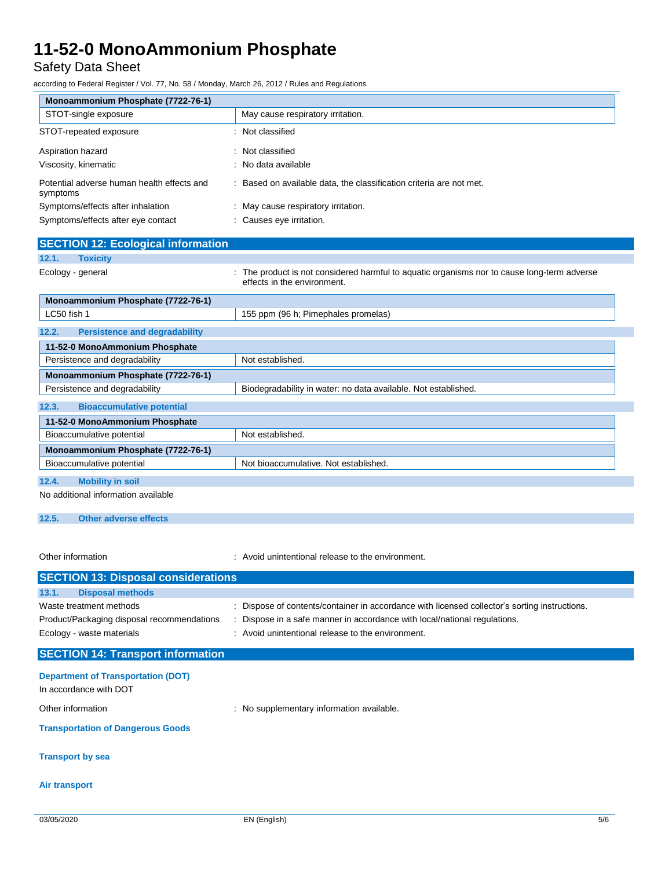Safety Data Sheet

according to Federal Register / Vol. 77, No. 58 / Monday, March 26, 2012 / Rules and Regulations

| Monoammonium Phosphate (7722-76-1)                     |                                                                                                                            |  |  |
|--------------------------------------------------------|----------------------------------------------------------------------------------------------------------------------------|--|--|
| STOT-single exposure                                   | May cause respiratory irritation.                                                                                          |  |  |
| STOT-repeated exposure                                 | : Not classified                                                                                                           |  |  |
| Aspiration hazard                                      | : Not classified                                                                                                           |  |  |
| Viscosity, kinematic                                   | : No data available                                                                                                        |  |  |
| Potential adverse human health effects and<br>symptoms | : Based on available data, the classification criteria are not met.                                                        |  |  |
| Symptoms/effects after inhalation                      | : May cause respiratory irritation.                                                                                        |  |  |
| Symptoms/effects after eye contact                     | : Causes eye irritation.                                                                                                   |  |  |
| <b>SECTION 12: Ecological information</b>              |                                                                                                                            |  |  |
| <b>Toxicity</b><br>12.1.                               |                                                                                                                            |  |  |
| Ecology - general                                      | : The product is not considered harmful to aquatic organisms nor to cause long-term adverse<br>effects in the environment. |  |  |
| Monoammonium Phosphate (7722-76-1)                     |                                                                                                                            |  |  |
| LC50 fish 1                                            | 155 ppm (96 h; Pimephales promelas)                                                                                        |  |  |
| <b>Persistence and degradability</b><br>12.2.          |                                                                                                                            |  |  |
| 11-52-0 MonoAmmonium Phosphate                         |                                                                                                                            |  |  |
| Persistence and degradability                          | Not established.                                                                                                           |  |  |
| Monoammonium Phosphate (7722-76-1)                     |                                                                                                                            |  |  |
| Persistence and degradability                          | Biodegradability in water: no data available. Not established.                                                             |  |  |
| 12.3.<br><b>Bioaccumulative potential</b>              |                                                                                                                            |  |  |
| 11-52-0 MonoAmmonium Phosphate                         |                                                                                                                            |  |  |
| Bioaccumulative potential                              | Not established.                                                                                                           |  |  |
| Monoammonium Phosphate (7722-76-1)                     |                                                                                                                            |  |  |
| Bioaccumulative potential                              | Not bioaccumulative. Not established.                                                                                      |  |  |

#### **12.4. Mobility in soil**

No additional information available

#### **12.5. Other adverse effects**

Other information **Calcular Contract Contract Contract Contract Contract Contract Contract Contract Contract Contract Contract Contract Contract Contract Contract Contract Contract Contract Contract Contract Contract Contr** 

| <b>SECTION 13: Disposal considerations</b> |                                                                                               |  |  |
|--------------------------------------------|-----------------------------------------------------------------------------------------------|--|--|
| 13.1.<br><b>Disposal methods</b>           |                                                                                               |  |  |
| Waste treatment methods                    | : Dispose of contents/container in accordance with licensed collector's sorting instructions. |  |  |
| Product/Packaging disposal recommendations | Dispose in a safe manner in accordance with local/national regulations.                       |  |  |
| Ecology - waste materials                  | : Avoid unintentional release to the environment.                                             |  |  |
|                                            |                                                                                               |  |  |

#### **SECTION 14: Transport information**

#### **Department of Transportation (DOT)**

In accordance with DOT

Other information **Calcular Contract Contract Contract Contract Contract Contract Contract Contract Contract Contract Contract Contract Contract Contract Contract Contract Contract Contract Contract Contract Contract Contr** 

#### **Transportation of Dangerous Goods**

#### **Transport by sea**

#### **Air transport**